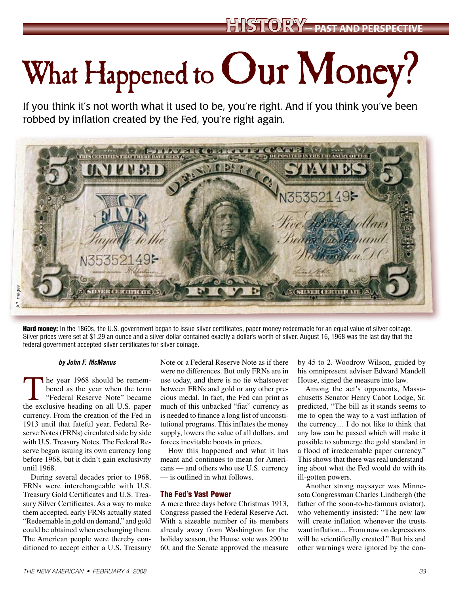# What Happened to Our Money?

If you think it's not worth what it used to be, you're right. And if you think you've been robbed by inflation created by the Fed, you're right again.



Hard money: In the 1860s, the U.S. government began to issue silver certificates, paper money redeemable for an equal value of silver coinage. Silver prices were set at \$1.29 an ounce and a silver dollar contained exactly a dollar's worth of silver. August 16, 1968 was the last day that the federal government accepted silver certificates for silver coinage.

#### *by John F. McManus*

The year 1968 should be remem-<br>bered as the year when the term<br>"Federal Reserve Note" became<br>the exclusive beading on all H<sub>S</sub> peper bered as the year when the term "Federal Reserve Note" became the exclusive heading on all U.S. paper currency. From the creation of the Fed in 1913 until that fateful year, Federal Reserve Notes (FRNs) circulated side by side with U.S. Treasury Notes. The Federal Reserve began issuing its own currency long before 1968, but it didn't gain exclusivity until 1968.

During several decades prior to 1968, FRNs were interchangeable with U.S. Treasury Gold Certificates and U.S. Treasury Silver Certificates. As a way to make them accepted, early FRNs actually stated "Redeemable in gold on demand," and gold could be obtained when exchanging them. The American people were thereby conditioned to accept either a U.S. Treasury Note or a Federal Reserve Note as if there were no differences. But only FRNs are in use today, and there is no tie whatsoever between FRNs and gold or any other precious medal. In fact, the Fed can print as much of this unbacked "fiat" currency as is needed to finance a long list of unconstitutional programs. This inflates the money supply, lowers the value of all dollars, and forces inevitable boosts in prices.

How this happened and what it has meant and continues to mean for Americans — and others who use U.S. currency — is outlined in what follows.

#### The Fed's Vast Power

A mere three days before Christmas 1913, Congress passed the Federal Reserve Act. With a sizeable number of its members already away from Washington for the holiday season, the House vote was 290 to 60, and the Senate approved the measure

by 45 to 2. Woodrow Wilson, guided by his omnipresent adviser Edward Mandell House, signed the measure into law.

Among the act's opponents, Massachusetts Senator Henry Cabot Lodge, Sr. predicted, "The bill as it stands seems to me to open the way to a vast inflation of the currency.... I do not like to think that any law can be passed which will make it possible to submerge the gold standard in a flood of irredeemable paper currency." This shows that there was real understanding about what the Fed would do with its ill-gotten powers.

Another strong naysayer was Minnesota Congressman Charles Lindbergh (the father of the soon-to-be-famous aviator), who vehemently insisted: "The new law will create inflation whenever the trusts want inflation.... From now on depressions will be scientifically created." But his and other warnings were ignored by the con-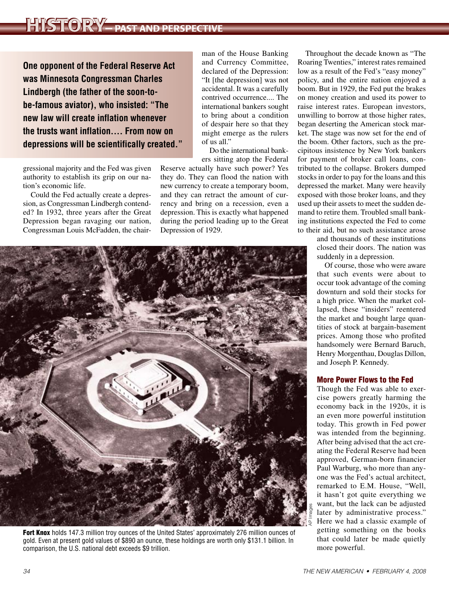## HISTORY— PAST AND PERSPECTIVE

**One opponent of the Federal Reserve Act was Minnesota Congressman Charles Lindbergh (the father of the soon-tobe-famous aviator), who insisted: "The new law will create inflation whenever the trusts want inflation.... From now on depressions will be scientifically created."**

gressional majority and the Fed was given authority to establish its grip on our nation's economic life.

Could the Fed actually create a depression, as Congressman Lindbergh contended? In 1932, three years after the Great Depression began ravaging our nation, Congressman Louis McFadden, the chair-

man of the House Banking and Currency Committee, declared of the Depression: "It [the depression] was not accidental. It was a carefully contrived occurrence.... The international bankers sought to bring about a condition of despair here so that they might emerge as the rulers of us all."

Do the international bankers sitting atop the Federal

Reserve actually have such power? Yes they do. They can flood the nation with new currency to create a temporary boom, and they can retract the amount of currency and bring on a recession, even a depression. This is exactly what happened during the period leading up to the Great Depression of 1929.



Fort Knox holds 147.3 million troy ounces of the United States' approximately 276 million ounces of gold. Even at present gold values of \$890 an ounce, these holdings are worth only \$131.1 billion. In comparison, the U.S. national debt exceeds \$9 trillion.

Throughout the decade known as "The Roaring Twenties," interest rates remained low as a result of the Fed's "easy money" policy, and the entire nation enjoyed a boom. But in 1929, the Fed put the brakes on money creation and used its power to raise interest rates. European investors, unwilling to borrow at those higher rates, began deserting the American stock market. The stage was now set for the end of the boom. Other factors, such as the precipitous insistence by New York bankers for payment of broker call loans, contributed to the collapse. Brokers dumped stocks in order to pay for the loans and this depressed the market. Many were heavily exposed with those broker loans, and they used up their assets to meet the sudden demand to retire them. Troubled small banking institutions expected the Fed to come to their aid, but no such assistance arose

> and thousands of these institutions closed their doors. The nation was suddenly in a depression.

> Of course, those who were aware that such events were about to occur took advantage of the coming downturn and sold their stocks for a high price. When the market collapsed, these "insiders" reentered the market and bought large quantities of stock at bargain-basement prices. Among those who profited handsomely were Bernard Baruch, Henry Morgenthau, Douglas Dillon, and Joseph P. Kennedy.

### More Power Flows to the Fed

Though the Fed was able to exercise powers greatly harming the economy back in the 1920s, it is an even more powerful institution today. This growth in Fed power was intended from the beginning. After being advised that the act creating the Federal Reserve had been approved, German-born financier Paul Warburg, who more than anyone was the Fed's actual architect, remarked to E.M. House, "Well, it hasn't got quite everything we want, but the lack can be adjusted later by administrative process." Here we had a classic example of getting something on the books that could later be made quietly more powerful.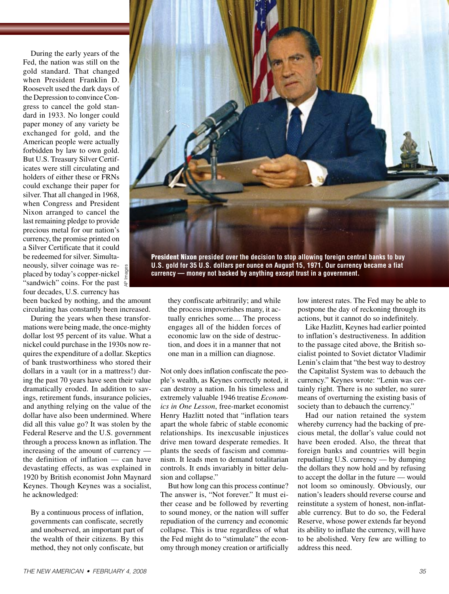During the early years of the Fed, the nation was still on the gold standard. That changed when President Franklin D. Roosevelt used the dark days of the Depression to convince Congress to cancel the gold standard in 1933. No longer could paper money of any variety be exchanged for gold, and the American people were actually forbidden by law to own gold. But U.S. Treasury Silver Certificates were still circulating and holders of either these or FRNs could exchange their paper for silver. That all changed in 1968, when Congress and President Nixon arranged to cancel the last remaining pledge to provide precious metal for our nation's currency, the promise printed on a Silver Certificate that it could be redeemed for silver. Simultaneously, silver coinage was replaced by today's copper-nickel "sandwich" coins. For the past  $\frac{1}{3}$ four decades, U.S. currency has

been backed by nothing, and the amount circulating has constantly been increased.

AP Images

During the years when these transformations were being made, the once-mighty dollar lost 95 percent of its value. What a nickel could purchase in the 1930s now requires the expenditure of a dollar. Skeptics of bank trustworthiness who stored their dollars in a vault (or in a mattress!) during the past 70 years have seen their value dramatically eroded. In addition to savings, retirement funds, insurance policies, and anything relying on the value of the dollar have also been undermined. Where did all this value go? It was stolen by the Federal Reserve and the U.S. government through a process known as inflation. The increasing of the amount of currency the definition of inflation — can have devastating effects, as was explained in 1920 by British economist John Maynard Keynes. Though Keynes was a socialist, he acknowledged:

By a continuous process of inflation, governments can confiscate, secretly and unobserved, an important part of the wealth of their citizens. By this method, they not only confiscate, but



**currency — money not backed by anything except trust in a government.**

they confiscate arbitrarily; and while the process impoverishes many, it actually enriches some.... The process engages all of the hidden forces of economic law on the side of destruction, and does it in a manner that not one man in a million can diagnose.

Not only does inflation confiscate the people's wealth, as Keynes correctly noted, it can destroy a nation. In his timeless and extremely valuable 1946 treatise *Economics in One Lesson*, free-market economist Henry Hazlitt noted that "inflation tears apart the whole fabric of stable economic relationships. Its inexcusable injustices drive men toward desperate remedies. It plants the seeds of fascism and communism. It leads men to demand totalitarian controls. It ends invariably in bitter delusion and collapse."

But how long can this process continue? The answer is, "Not forever." It must either cease and be followed by reverting to sound money, or the nation will suffer repudiation of the currency and economic collapse. This is true regardless of what the Fed might do to "stimulate" the economy through money creation or artificially

low interest rates. The Fed may be able to postpone the day of reckoning through its actions, but it cannot do so indefinitely.

Like Hazlitt, Keynes had earlier pointed to inflation's destructiveness. In addition to the passage cited above, the British socialist pointed to Soviet dictator Vladimir Lenin's claim that "the best way to destroy the Capitalist System was to debauch the currency." Keynes wrote: "Lenin was certainly right. There is no subtler, no surer means of overturning the existing basis of society than to debauch the currency."

Had our nation retained the system whereby currency had the backing of precious metal, the dollar's value could not have been eroded. Also, the threat that foreign banks and countries will begin repudiating U.S. currency — by dumping the dollars they now hold and by refusing to accept the dollar in the future — would not loom so ominously. Obviously, our nation's leaders should reverse course and reinstitute a system of honest, non-inflatable currency. But to do so, the Federal Reserve, whose power extends far beyond its ability to inflate the currency, will have to be abolished. Very few are willing to address this need.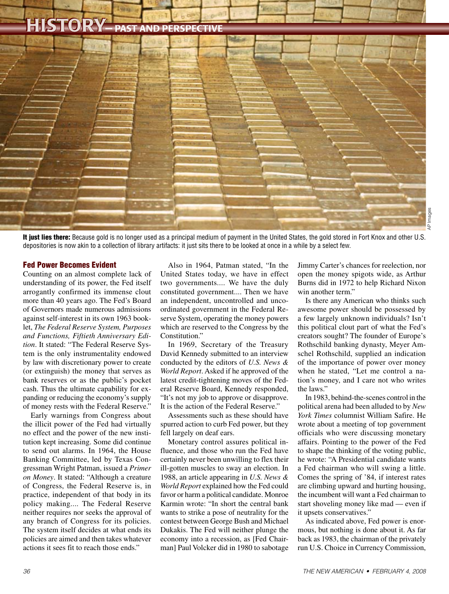## HISTORY— PAST AND PERSPECTIVE



It just lies there: Because gold is no longer used as a principal medium of payment in the United States, the gold stored in Fort Knox and other U.S. depositories is now akin to a collection of library artifacts: it just sits there to be looked at once in a while by a select few.

#### Fed Power Becomes Evident

Counting on an almost complete lack of understanding of its power, the Fed itself arrogantly confirmed its immense clout more than 40 years ago. The Fed's Board of Governors made numerous admissions against self-interest in its own 1963 booklet, *The Federal Reserve System, Purposes and Functions, Fiftieth Anniversary Edition*. It stated: "The Federal Reserve System is the only instrumentality endowed by law with discretionary power to create (or extinguish) the money that serves as bank reserves or as the public's pocket cash. Thus the ultimate capability for expanding or reducing the economy's supply of money rests with the Federal Reserve."

Early warnings from Congress about the illicit power of the Fed had virtually no effect and the power of the new institution kept increasing. Some did continue to send out alarms. In 1964, the House Banking Committee, led by Texas Congressman Wright Patman, issued a *Primer on Money*. It stated: "Although a creature of Congress, the Federal Reserve is, in practice, independent of that body in its policy making.... The Federal Reserve neither requires nor seeks the approval of any branch of Congress for its policies. The system itself decides at what ends its policies are aimed and then takes whatever actions it sees fit to reach those ends."

Also in 1964, Patman stated, "In the United States today, we have in effect two governments.... We have the duly constituted government.... Then we have an independent, uncontrolled and uncoordinated government in the Federal Reserve System, operating the money powers which are reserved to the Congress by the Constitution."

In 1969, Secretary of the Treasury David Kennedy submitted to an interview conducted by the editors of *U.S. News & World Report*. Asked if he approved of the latest credit-tightening moves of the Federal Reserve Board, Kennedy responded, "It's not my job to approve or disapprove. It is the action of the Federal Reserve."

Assessments such as these should have spurred action to curb Fed power, but they fell largely on deaf ears.

Monetary control assures political influence, and those who run the Fed have certainly never been unwilling to flex their ill-gotten muscles to sway an election. In 1988, an article appearing in *U.S. News & World Report* explained how the Fed could favor or harm a political candidate. Monroe Karmin wrote: "In short the central bank wants to strike a pose of neutrality for the contest between George Bush and Michael Dukakis. The Fed will neither plunge the economy into a recession, as [Fed Chairman] Paul Volcker did in 1980 to sabotage

Jimmy Carter's chances for reelection, nor open the money spigots wide, as Arthur Burns did in 1972 to help Richard Nixon win another term"

Is there any American who thinks such awesome power should be possessed by a few largely unknown individuals? Isn't this political clout part of what the Fed's creators sought? The founder of Europe's Rothschild banking dynasty, Meyer Amschel Rothschild, supplied an indication of the importance of power over money when he stated, "Let me control a nation's money, and I care not who writes the laws."

In 1983, behind-the-scenes control in the political arena had been alluded to by *New York Times* columnist William Safire. He wrote about a meeting of top government officials who were discussing monetary affairs. Pointing to the power of the Fed to shape the thinking of the voting public, he wrote: "A Presidential candidate wants a Fed chairman who will swing a little. Comes the spring of '84, if interest rates are climbing upward and hurting housing, the incumbent will want a Fed chairman to start shoveling money like mad — even if it upsets conservatives."

As indicated above, Fed power is enormous, but nothing is done about it. As far back as 1983, the chairman of the privately run U.S. Choice in Currency Commission,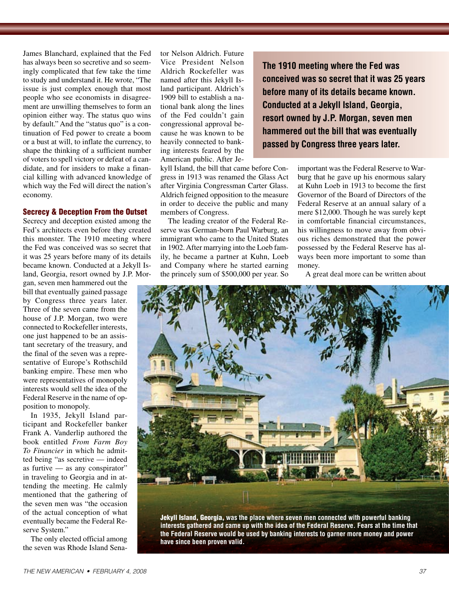James Blanchard, explained that the Fed has always been so secretive and so seemingly complicated that few take the time to study and understand it. He wrote, "The issue is just complex enough that most people who see economists in disagreement are unwilling themselves to form an opinion either way. The status quo wins by default." And the "status quo" is a continuation of Fed power to create a boom or a bust at will, to inflate the currency, to shape the thinking of a sufficient number of voters to spell victory or defeat of a candidate, and for insiders to make a financial killing with advanced knowledge of which way the Fed will direct the nation's economy.

#### Secrecy & Deception From the Outset

Secrecy and deception existed among the Fed's architects even before they created this monster. The 1910 meeting where the Fed was conceived was so secret that it was 25 years before many of its details became known. Conducted at a Jekyll Island, Georgia, resort owned by J.P. Mor-

gan, seven men hammered out the bill that eventually gained passage by Congress three years later. Three of the seven came from the house of J.P. Morgan, two were connected to Rockefeller interests, one just happened to be an assistant secretary of the treasury, and the final of the seven was a representative of Europe's Rothschild banking empire. These men who were representatives of monopoly interests would sell the idea of the Federal Reserve in the name of opposition to monopoly.

In 1935, Jekyll Island participant and Rockefeller banker Frank A. Vanderlip authored the book entitled *From Farm Boy To Financier* in which he admitted being "as secretive — indeed as furtive — as any conspirator" in traveling to Georgia and in attending the meeting. He calmly mentioned that the gathering of the seven men was "the occasion of the actual conception of what eventually became the Federal Reserve System."

The only elected official among the seven was Rhode Island Senator Nelson Aldrich. Future Vice President Nelson Aldrich Rockefeller was named after this Jekyll Island participant. Aldrich's 1909 bill to establish a national bank along the lines of the Fed couldn't gain congressional approval because he was known to be heavily connected to banking interests feared by the American public. After Je-

kyll Island, the bill that came before Congress in 1913 was renamed the Glass Act after Virginia Congressman Carter Glass. Aldrich feigned opposition to the measure in order to deceive the public and many members of Congress.

The leading creator of the Federal Reserve was German-born Paul Warburg, an immigrant who came to the United States in 1902. After marrying into the Loeb family, he became a partner at Kuhn, Loeb and Company where he started earning the princely sum of \$500,000 per year. So

**The 1910 meeting where the Fed was conceived was so secret that it was 25 years before many of its details became known. Conducted at a Jekyll Island, Georgia, resort owned by J.P. Morgan, seven men hammered out the bill that was eventually passed by Congress three years later.**

> important was the Federal Reserve to Warburg that he gave up his enormous salary at Kuhn Loeb in 1913 to become the first Governor of the Board of Directors of the Federal Reserve at an annual salary of a mere \$12,000. Though he was surely kept in comfortable financial circumstances, his willingness to move away from obvious riches demonstrated that the power possessed by the Federal Reserve has always been more important to some than money.

A great deal more can be written about



Jekyll Island, Georgia, **was the place where seven men connected with powerful banking interests gathered and came up with the idea of the Federal Reserve. Fears at the time that the Federal Reserve would be used by banking interests to garner more money and power have since been proven valid.**